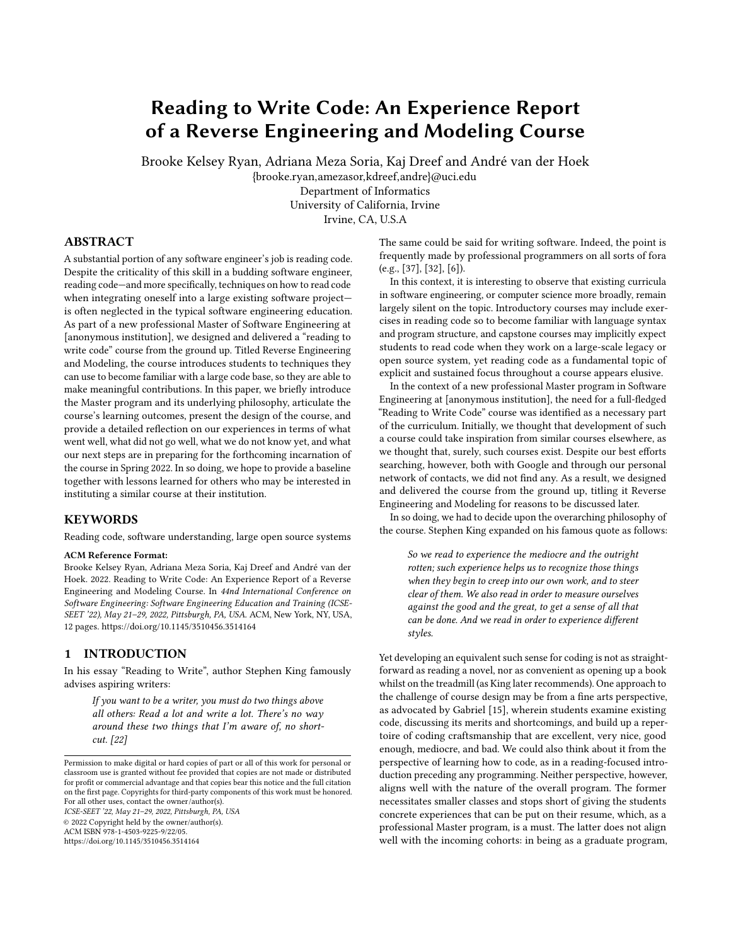# <span id="page-0-0"></span>Reading to Write Code: An Experience Report of a Reverse Engineering and Modeling Course

Brooke Kelsey Ryan, Adriana Meza Soria, Kaj Dreef and André van der Hoek

{brooke.ryan,amezasor,kdreef,andre}@uci.edu Department of Informatics University of California, Irvine

Irvine, CA, U.S.A

# ABSTRACT

A substantial portion of any software engineer's job is reading code. Despite the criticality of this skill in a budding software engineer, reading code—and more specifically, techniques on how to read code when integrating oneself into a large existing software project is often neglected in the typical software engineering education. As part of a new professional Master of Software Engineering at [anonymous institution], we designed and delivered a "reading to write code" course from the ground up. Titled Reverse Engineering and Modeling, the course introduces students to techniques they can use to become familiar with a large code base, so they are able to make meaningful contributions. In this paper, we briefly introduce the Master program and its underlying philosophy, articulate the course's learning outcomes, present the design of the course, and provide a detailed reflection on our experiences in terms of what went well, what did not go well, what we do not know yet, and what our next steps are in preparing for the forthcoming incarnation of the course in Spring 2022. In so doing, we hope to provide a baseline together with lessons learned for others who may be interested in instituting a similar course at their institution.

### **KEYWORDS**

Reading code, software understanding, large open source systems

#### ACM Reference Format:

Brooke Kelsey Ryan, Adriana Meza Soria, Kaj Dreef and André van der Hoek. 2022. Reading to Write Code: An Experience Report of a Reverse Engineering and Modeling Course. In 44nd International Conference on Software Engineering: Software Engineering Education and Training (ICSE-SEET '22), May 21–29, 2022, Pittsburgh, PA, USA. ACM, New York, NY, USA, [12](#page-11-0) pages.<https://doi.org/10.1145/3510456.3514164>

#### 1 INTRODUCTION

In his essay "Reading to Write", author Stephen King famously advises aspiring writers:

If you want to be a writer, you must do two things above all others: Read a lot and write a lot. There's no way around these two things that I'm aware of, no shortcut. [\[22\]](#page-11-1)

ICSE-SEET '22, May 21–29, 2022, Pittsburgh, PA, USA © 2022 Copyright held by the owner/author(s). ACM ISBN 978-1-4503-9225-9/22/05.

<https://doi.org/10.1145/3510456.3514164>

The same could be said for writing software. Indeed, the point is frequently made by professional programmers on all sorts of fora (e.g., [\[37\]](#page-11-2), [\[32\]](#page-11-3), [\[6\]](#page-10-0)).

In this context, it is interesting to observe that existing curricula in software engineering, or computer science more broadly, remain largely silent on the topic. Introductory courses may include exercises in reading code so to become familiar with language syntax and program structure, and capstone courses may implicitly expect students to read code when they work on a large-scale legacy or open source system, yet reading code as a fundamental topic of explicit and sustained focus throughout a course appears elusive.

In the context of a new professional Master program in Software Engineering at [anonymous institution], the need for a full-fledged "Reading to Write Code" course was identified as a necessary part of the curriculum. Initially, we thought that development of such a course could take inspiration from similar courses elsewhere, as we thought that, surely, such courses exist. Despite our best efforts searching, however, both with Google and through our personal network of contacts, we did not find any. As a result, we designed and delivered the course from the ground up, titling it Reverse Engineering and Modeling for reasons to be discussed later.

In so doing, we had to decide upon the overarching philosophy of the course. Stephen King expanded on his famous quote as follows:

So we read to experience the mediocre and the outright rotten; such experience helps us to recognize those things when they begin to creep into our own work, and to steer clear of them. We also read in order to measure ourselves against the good and the great, to get a sense of all that can be done. And we read in order to experience different styles.

Yet developing an equivalent such sense for coding is not as straightforward as reading a novel, nor as convenient as opening up a book whilst on the treadmill (as King later recommends). One approach to the challenge of course design may be from a fine arts perspective, as advocated by Gabriel [\[15\]](#page-11-4), wherein students examine existing code, discussing its merits and shortcomings, and build up a repertoire of coding craftsmanship that are excellent, very nice, good enough, mediocre, and bad. We could also think about it from the perspective of learning how to code, as in a reading-focused introduction preceding any programming. Neither perspective, however, aligns well with the nature of the overall program. The former necessitates smaller classes and stops short of giving the students concrete experiences that can be put on their resume, which, as a professional Master program, is a must. The latter does not align well with the incoming cohorts: in being as a graduate program,

Permission to make digital or hard copies of part or all of this work for personal or classroom use is granted without fee provided that copies are not made or distributed for profit or commercial advantage and that copies bear this notice and the full citation on the first page. Copyrights for third-party components of this work must be honored. For all other uses, contact the owner/author(s).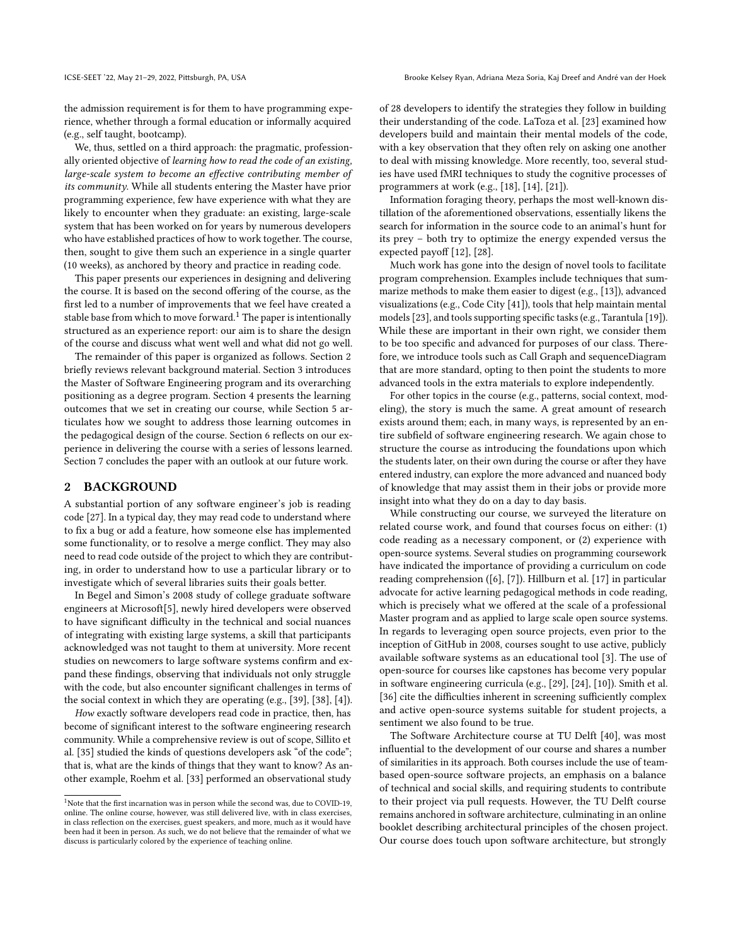the admission requirement is for them to have programming experience, whether through a formal education or informally acquired (e.g., self taught, bootcamp).

We, thus, settled on a third approach: the pragmatic, professionally oriented objective of learning how to read the code of an existing, large-scale system to become an effective contributing member of its community. While all students entering the Master have prior programming experience, few have experience with what they are likely to encounter when they graduate: an existing, large-scale system that has been worked on for years by numerous developers who have established practices of how to work together. The course, then, sought to give them such an experience in a single quarter (10 weeks), as anchored by theory and practice in reading code.

This paper presents our experiences in designing and delivering the course. It is based on the second offering of the course, as the first led to a number of improvements that we feel have created a stable base from which to move forward.<sup>[1](#page-0-0)</sup> The paper is intentionally structured as an experience report: our aim is to share the design of the course and discuss what went well and what did not go well.

The remainder of this paper is organized as follows. Section [2](#page-1-0) briefly reviews relevant background material. Section [3](#page-2-0) introduces the Master of Software Engineering program and its overarching positioning as a degree program. Section [4](#page-2-1) presents the learning outcomes that we set in creating our course, while Section [5](#page-3-0) articulates how we sought to address those learning outcomes in the pedagogical design of the course. Section [6](#page-9-0) reflects on our experience in delivering the course with a series of lessons learned. Section [7](#page-10-1) concludes the paper with an outlook at our future work.

#### <span id="page-1-0"></span>2 BACKGROUND

A substantial portion of any software engineer's job is reading code [\[27\]](#page-11-5). In a typical day, they may read code to understand where to fix a bug or add a feature, how someone else has implemented some functionality, or to resolve a merge conflict. They may also need to read code outside of the project to which they are contributing, in order to understand how to use a particular library or to investigate which of several libraries suits their goals better.

In Begel and Simon's 2008 study of college graduate software engineers at Microsoft[\[5\]](#page-10-2), newly hired developers were observed to have significant difficulty in the technical and social nuances of integrating with existing large systems, a skill that participants acknowledged was not taught to them at university. More recent studies on newcomers to large software systems confirm and expand these findings, observing that individuals not only struggle with the code, but also encounter significant challenges in terms of the social context in which they are operating (e.g., [\[39\]](#page-11-6), [\[38\]](#page-11-7), [\[4\]](#page-10-3)).

How exactly software developers read code in practice, then, has become of significant interest to the software engineering research community. While a comprehensive review is out of scope, Sillito et al. [\[35\]](#page-11-8) studied the kinds of questions developers ask "of the code"; that is, what are the kinds of things that they want to know? As another example, Roehm et al. [\[33\]](#page-11-9) performed an observational study

of 28 developers to identify the strategies they follow in building their understanding of the code. LaToza et al. [\[23\]](#page-11-10) examined how developers build and maintain their mental models of the code, with a key observation that they often rely on asking one another to deal with missing knowledge. More recently, too, several studies have used fMRI techniques to study the cognitive processes of programmers at work (e.g., [\[18\]](#page-11-11), [\[14\]](#page-11-12), [\[21\]](#page-11-13)).

Information foraging theory, perhaps the most well-known distillation of the aforementioned observations, essentially likens the search for information in the source code to an animal's hunt for its prey – both try to optimize the energy expended versus the expected payoff [\[12\]](#page-11-14), [\[28\]](#page-11-15).

Much work has gone into the design of novel tools to facilitate program comprehension. Examples include techniques that summarize methods to make them easier to digest (e.g., [\[13\]](#page-11-16)), advanced visualizations (e.g., Code City [\[41\]](#page-11-17)), tools that help maintain mental models [\[23\]](#page-11-10), and tools supporting specific tasks (e.g., Tarantula [\[19\]](#page-11-18)). While these are important in their own right, we consider them to be too specific and advanced for purposes of our class. Therefore, we introduce tools such as Call Graph and sequenceDiagram that are more standard, opting to then point the students to more advanced tools in the extra materials to explore independently.

For other topics in the course (e.g., patterns, social context, modeling), the story is much the same. A great amount of research exists around them; each, in many ways, is represented by an entire subfield of software engineering research. We again chose to structure the course as introducing the foundations upon which the students later, on their own during the course or after they have entered industry, can explore the more advanced and nuanced body of knowledge that may assist them in their jobs or provide more insight into what they do on a day to day basis.

While constructing our course, we surveyed the literature on related course work, and found that courses focus on either: (1) code reading as a necessary component, or (2) experience with open-source systems. Several studies on programming coursework have indicated the importance of providing a curriculum on code reading comprehension ([\[6\]](#page-10-0), [\[7\]](#page-10-4)). Hillburn et al. [\[17\]](#page-11-19) in particular advocate for active learning pedagogical methods in code reading, which is precisely what we offered at the scale of a professional Master program and as applied to large scale open source systems. In regards to leveraging open source projects, even prior to the inception of GitHub in 2008, courses sought to use active, publicly available software systems as an educational tool [\[3\]](#page-10-5). The use of open-source for courses like capstones has become very popular in software engineering curricula (e.g., [\[29\]](#page-11-20), [\[24\]](#page-11-21), [\[10\]](#page-10-6)). Smith et al. [\[36\]](#page-11-22) cite the difficulties inherent in screening sufficiently complex and active open-source systems suitable for student projects, a sentiment we also found to be true.

The Software Architecture course at TU Delft [\[40\]](#page-11-23), was most influential to the development of our course and shares a number of similarities in its approach. Both courses include the use of teambased open-source software projects, an emphasis on a balance of technical and social skills, and requiring students to contribute to their project via pull requests. However, the TU Delft course remains anchored in software architecture, culminating in an online booklet describing architectural principles of the chosen project. Our course does touch upon software architecture, but strongly

<sup>&</sup>lt;sup>1</sup>Note that the first incarnation was in person while the second was, due to COVID-19, online. The online course, however, was still delivered live, with in class exercises, in class reflection on the exercises, guest speakers, and more, much as it would have been had it been in person. As such, we do not believe that the remainder of what we discuss is particularly colored by the experience of teaching online.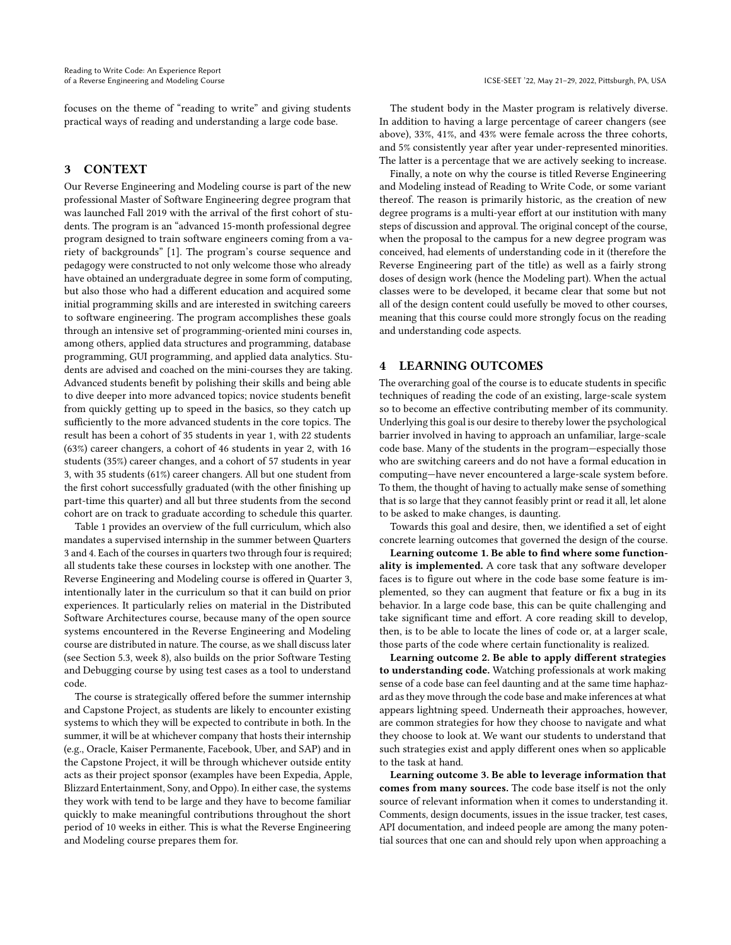focuses on the theme of "reading to write" and giving students practical ways of reading and understanding a large code base.

## <span id="page-2-0"></span>3 CONTEXT

Our Reverse Engineering and Modeling course is part of the new professional Master of Software Engineering degree program that was launched Fall 2019 with the arrival of the first cohort of students. The program is an "advanced 15-month professional degree program designed to train software engineers coming from a variety of backgrounds" [\[1\]](#page-10-7). The program's course sequence and pedagogy were constructed to not only welcome those who already have obtained an undergraduate degree in some form of computing, but also those who had a different education and acquired some initial programming skills and are interested in switching careers to software engineering. The program accomplishes these goals through an intensive set of programming-oriented mini courses in, among others, applied data structures and programming, database programming, GUI programming, and applied data analytics. Students are advised and coached on the mini-courses they are taking. Advanced students benefit by polishing their skills and being able to dive deeper into more advanced topics; novice students benefit from quickly getting up to speed in the basics, so they catch up sufficiently to the more advanced students in the core topics. The result has been a cohort of 35 students in year 1, with 22 students (63%) career changers, a cohort of 46 students in year 2, with 16 students (35%) career changes, and a cohort of 57 students in year 3, with 35 students (61%) career changers. All but one student from the first cohort successfully graduated (with the other finishing up part-time this quarter) and all but three students from the second cohort are on track to graduate according to schedule this quarter.

Table [1](#page-3-1) provides an overview of the full curriculum, which also mandates a supervised internship in the summer between Quarters 3 and 4. Each of the courses in quarters two through four is required; all students take these courses in lockstep with one another. The Reverse Engineering and Modeling course is offered in Quarter 3, intentionally later in the curriculum so that it can build on prior experiences. It particularly relies on material in the Distributed Software Architectures course, because many of the open source systems encountered in the Reverse Engineering and Modeling course are distributed in nature. The course, as we shall discuss later (see Section 5.3, week 8), also builds on the prior Software Testing and Debugging course by using test cases as a tool to understand code.

The course is strategically offered before the summer internship and Capstone Project, as students are likely to encounter existing systems to which they will be expected to contribute in both. In the summer, it will be at whichever company that hosts their internship (e.g., Oracle, Kaiser Permanente, Facebook, Uber, and SAP) and in the Capstone Project, it will be through whichever outside entity acts as their project sponsor (examples have been Expedia, Apple, Blizzard Entertainment, Sony, and Oppo). In either case, the systems they work with tend to be large and they have to become familiar quickly to make meaningful contributions throughout the short period of 10 weeks in either. This is what the Reverse Engineering and Modeling course prepares them for.

The student body in the Master program is relatively diverse. In addition to having a large percentage of career changers (see above), 33%, 41%, and 43% were female across the three cohorts, and 5% consistently year after year under-represented minorities. The latter is a percentage that we are actively seeking to increase.

Finally, a note on why the course is titled Reverse Engineering and Modeling instead of Reading to Write Code, or some variant thereof. The reason is primarily historic, as the creation of new degree programs is a multi-year effort at our institution with many steps of discussion and approval. The original concept of the course, when the proposal to the campus for a new degree program was conceived, had elements of understanding code in it (therefore the Reverse Engineering part of the title) as well as a fairly strong doses of design work (hence the Modeling part). When the actual classes were to be developed, it became clear that some but not all of the design content could usefully be moved to other courses, meaning that this course could more strongly focus on the reading and understanding code aspects.

## <span id="page-2-1"></span>4 LEARNING OUTCOMES

The overarching goal of the course is to educate students in specific techniques of reading the code of an existing, large-scale system so to become an effective contributing member of its community. Underlying this goal is our desire to thereby lower the psychological barrier involved in having to approach an unfamiliar, large-scale code base. Many of the students in the program—especially those who are switching careers and do not have a formal education in computing—have never encountered a large-scale system before. To them, the thought of having to actually make sense of something that is so large that they cannot feasibly print or read it all, let alone to be asked to make changes, is daunting.

Towards this goal and desire, then, we identified a set of eight concrete learning outcomes that governed the design of the course.

Learning outcome 1. Be able to find where some functionality is implemented. A core task that any software developer faces is to figure out where in the code base some feature is implemented, so they can augment that feature or fix a bug in its behavior. In a large code base, this can be quite challenging and take significant time and effort. A core reading skill to develop, then, is to be able to locate the lines of code or, at a larger scale, those parts of the code where certain functionality is realized.

Learning outcome 2. Be able to apply different strategies to understanding code. Watching professionals at work making sense of a code base can feel daunting and at the same time haphazard as they move through the code base and make inferences at what appears lightning speed. Underneath their approaches, however, are common strategies for how they choose to navigate and what they choose to look at. We want our students to understand that such strategies exist and apply different ones when so applicable to the task at hand.

Learning outcome 3. Be able to leverage information that comes from many sources. The code base itself is not the only source of relevant information when it comes to understanding it. Comments, design documents, issues in the issue tracker, test cases, API documentation, and indeed people are among the many potential sources that one can and should rely upon when approaching a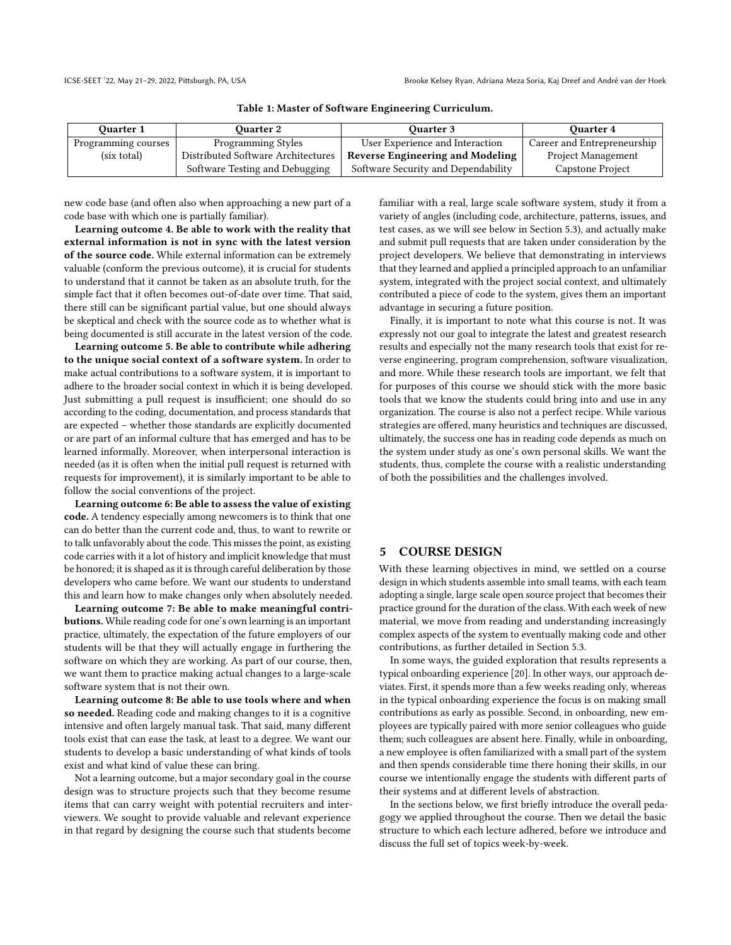<span id="page-3-1"></span>

| <b>Ouarter 1</b>    | <b>Ouarter 2</b>                   | <b>Ouarter 3</b>                        | <b>Ouarter 4</b>            |
|---------------------|------------------------------------|-----------------------------------------|-----------------------------|
| Programming courses | <b>Programming Styles</b>          | User Experience and Interaction         | Career and Entrepreneurship |
| (six total)         | Distributed Software Architectures | <b>Reverse Engineering and Modeling</b> | Project Management          |
|                     | Software Testing and Debugging     | Software Security and Dependability     | Capstone Project            |

Table 1: Master of Software Engineering Curriculum.

new code base (and often also when approaching a new part of a code base with which one is partially familiar).

Learning outcome 4. Be able to work with the reality that external information is not in sync with the latest version of the source code. While external information can be extremely valuable (conform the previous outcome), it is crucial for students to understand that it cannot be taken as an absolute truth, for the simple fact that it often becomes out-of-date over time. That said, there still can be significant partial value, but one should always be skeptical and check with the source code as to whether what is being documented is still accurate in the latest version of the code.

Learning outcome 5. Be able to contribute while adhering to the unique social context of a software system. In order to make actual contributions to a software system, it is important to adhere to the broader social context in which it is being developed. Just submitting a pull request is insufficient; one should do so according to the coding, documentation, and process standards that are expected – whether those standards are explicitly documented or are part of an informal culture that has emerged and has to be learned informally. Moreover, when interpersonal interaction is needed (as it is often when the initial pull request is returned with requests for improvement), it is similarly important to be able to follow the social conventions of the project.

Learning outcome 6: Be able to assess the value of existing code. A tendency especially among newcomers is to think that one can do better than the current code and, thus, to want to rewrite or to talk unfavorably about the code. This misses the point, as existing code carries with it a lot of history and implicit knowledge that must be honored; it is shaped as it is through careful deliberation by those developers who came before. We want our students to understand this and learn how to make changes only when absolutely needed.

Learning outcome 7: Be able to make meaningful contributions. While reading code for one's own learning is an important practice, ultimately, the expectation of the future employers of our students will be that they will actually engage in furthering the software on which they are working. As part of our course, then, we want them to practice making actual changes to a large-scale software system that is not their own.

Learning outcome 8: Be able to use tools where and when so needed. Reading code and making changes to it is a cognitive intensive and often largely manual task. That said, many different tools exist that can ease the task, at least to a degree. We want our students to develop a basic understanding of what kinds of tools exist and what kind of value these can bring.

Not a learning outcome, but a major secondary goal in the course design was to structure projects such that they become resume items that can carry weight with potential recruiters and interviewers. We sought to provide valuable and relevant experience in that regard by designing the course such that students become

familiar with a real, large scale software system, study it from a variety of angles (including code, architecture, patterns, issues, and test cases, as we will see below in Section 5.3), and actually make and submit pull requests that are taken under consideration by the project developers. We believe that demonstrating in interviews that they learned and applied a principled approach to an unfamiliar system, integrated with the project social context, and ultimately contributed a piece of code to the system, gives them an important advantage in securing a future position.

Finally, it is important to note what this course is not. It was expressly not our goal to integrate the latest and greatest research results and especially not the many research tools that exist for reverse engineering, program comprehension, software visualization, and more. While these research tools are important, we felt that for purposes of this course we should stick with the more basic tools that we know the students could bring into and use in any organization. The course is also not a perfect recipe. While various strategies are offered, many heuristics and techniques are discussed, ultimately, the success one has in reading code depends as much on the system under study as one's own personal skills. We want the students, thus, complete the course with a realistic understanding of both the possibilities and the challenges involved.

# <span id="page-3-0"></span>5 COURSE DESIGN

With these learning objectives in mind, we settled on a course design in which students assemble into small teams, with each team adopting a single, large scale open source project that becomes their practice ground for the duration of the class. With each week of new material, we move from reading and understanding increasingly complex aspects of the system to eventually making code and other contributions, as further detailed in Section [5.3.](#page-6-0)

In some ways, the guided exploration that results represents a typical onboarding experience [\[20\]](#page-11-24). In other ways, our approach deviates. First, it spends more than a few weeks reading only, whereas in the typical onboarding experience the focus is on making small contributions as early as possible. Second, in onboarding, new employees are typically paired with more senior colleagues who guide them; such colleagues are absent here. Finally, while in onboarding, a new employee is often familiarized with a small part of the system and then spends considerable time there honing their skills, in our course we intentionally engage the students with different parts of their systems and at different levels of abstraction.

In the sections below, we first briefly introduce the overall pedagogy we applied throughout the course. Then we detail the basic structure to which each lecture adhered, before we introduce and discuss the full set of topics week-by-week.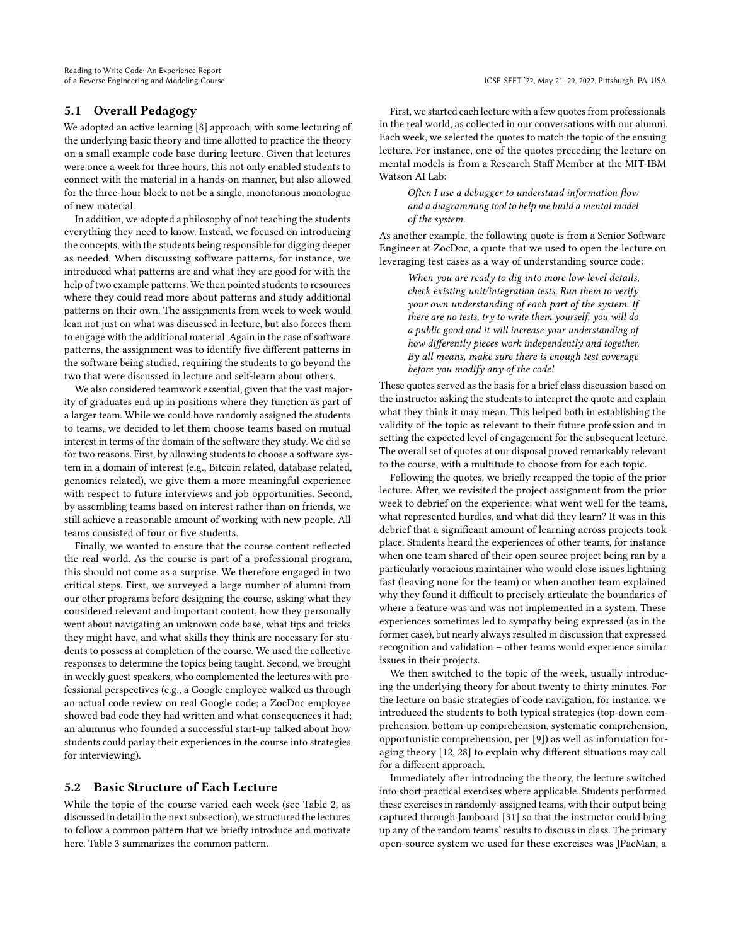## 5.1 Overall Pedagogy

We adopted an active learning [\[8\]](#page-10-8) approach, with some lecturing of the underlying basic theory and time allotted to practice the theory on a small example code base during lecture. Given that lectures were once a week for three hours, this not only enabled students to connect with the material in a hands-on manner, but also allowed for the three-hour block to not be a single, monotonous monologue of new material.

In addition, we adopted a philosophy of not teaching the students everything they need to know. Instead, we focused on introducing the concepts, with the students being responsible for digging deeper as needed. When discussing software patterns, for instance, we introduced what patterns are and what they are good for with the help of two example patterns. We then pointed students to resources where they could read more about patterns and study additional patterns on their own. The assignments from week to week would lean not just on what was discussed in lecture, but also forces them to engage with the additional material. Again in the case of software patterns, the assignment was to identify five different patterns in the software being studied, requiring the students to go beyond the two that were discussed in lecture and self-learn about others.

We also considered teamwork essential, given that the vast majority of graduates end up in positions where they function as part of a larger team. While we could have randomly assigned the students to teams, we decided to let them choose teams based on mutual interest in terms of the domain of the software they study. We did so for two reasons. First, by allowing students to choose a software system in a domain of interest (e.g., Bitcoin related, database related, genomics related), we give them a more meaningful experience with respect to future interviews and job opportunities. Second, by assembling teams based on interest rather than on friends, we still achieve a reasonable amount of working with new people. All teams consisted of four or five students.

Finally, we wanted to ensure that the course content reflected the real world. As the course is part of a professional program, this should not come as a surprise. We therefore engaged in two critical steps. First, we surveyed a large number of alumni from our other programs before designing the course, asking what they considered relevant and important content, how they personally went about navigating an unknown code base, what tips and tricks they might have, and what skills they think are necessary for students to possess at completion of the course. We used the collective responses to determine the topics being taught. Second, we brought in weekly guest speakers, who complemented the lectures with professional perspectives (e.g., a Google employee walked us through an actual code review on real Google code; a ZocDoc employee showed bad code they had written and what consequences it had; an alumnus who founded a successful start-up talked about how students could parlay their experiences in the course into strategies for interviewing).

### <span id="page-4-0"></span>5.2 Basic Structure of Each Lecture

While the topic of the course varied each week (see Table [2,](#page-5-0) as discussed in detail in the next subsection), we structured the lectures to follow a common pattern that we briefly introduce and motivate here. Table [3](#page-5-1) summarizes the common pattern.

First, we started each lecture with a few quotes from professionals in the real world, as collected in our conversations with our alumni. Each week, we selected the quotes to match the topic of the ensuing lecture. For instance, one of the quotes preceding the lecture on mental models is from a Research Staff Member at the MIT-IBM Watson AI Lab:

Often I use a debugger to understand information flow and a diagramming tool to help me build a mental model of the system.

As another example, the following quote is from a Senior Software Engineer at ZocDoc, a quote that we used to open the lecture on leveraging test cases as a way of understanding source code:

When you are ready to dig into more low-level details, check existing unit/integration tests. Run them to verify your own understanding of each part of the system. If there are no tests, try to write them yourself, you will do a public good and it will increase your understanding of how differently pieces work independently and together. By all means, make sure there is enough test coverage before you modify any of the code!

These quotes served as the basis for a brief class discussion based on the instructor asking the students to interpret the quote and explain what they think it may mean. This helped both in establishing the validity of the topic as relevant to their future profession and in setting the expected level of engagement for the subsequent lecture. The overall set of quotes at our disposal proved remarkably relevant to the course, with a multitude to choose from for each topic.

Following the quotes, we briefly recapped the topic of the prior lecture. After, we revisited the project assignment from the prior week to debrief on the experience: what went well for the teams, what represented hurdles, and what did they learn? It was in this debrief that a significant amount of learning across projects took place. Students heard the experiences of other teams, for instance when one team shared of their open source project being ran by a particularly voracious maintainer who would close issues lightning fast (leaving none for the team) or when another team explained why they found it difficult to precisely articulate the boundaries of where a feature was and was not implemented in a system. These experiences sometimes led to sympathy being expressed (as in the former case), but nearly always resulted in discussion that expressed recognition and validation – other teams would experience similar issues in their projects.

We then switched to the topic of the week, usually introducing the underlying theory for about twenty to thirty minutes. For the lecture on basic strategies of code navigation, for instance, we introduced the students to both typical strategies (top-down comprehension, bottom-up comprehension, systematic comprehension, opportunistic comprehension, per [\[9\]](#page-10-9)) as well as information foraging theory [\[12,](#page-11-14) [28\]](#page-11-15) to explain why different situations may call for a different approach.

Immediately after introducing the theory, the lecture switched into short practical exercises where applicable. Students performed these exercises in randomly-assigned teams, with their output being captured through Jamboard [\[31\]](#page-11-25) so that the instructor could bring up any of the random teams' results to discuss in class. The primary open-source system we used for these exercises was JPacMan, a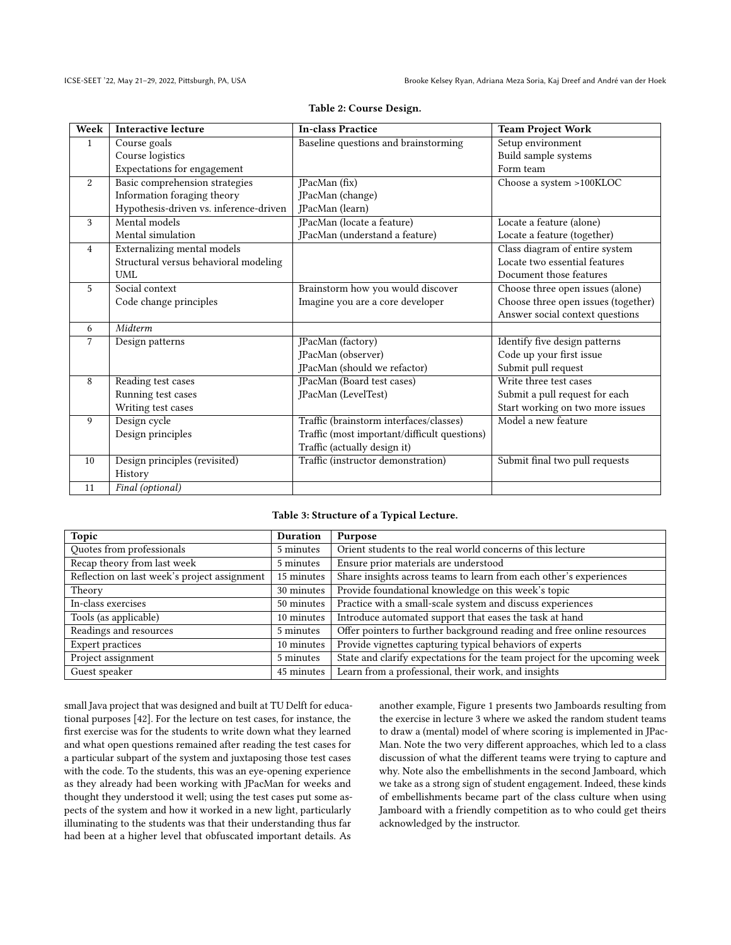<span id="page-5-0"></span>

| Week                        | <b>Interactive lecture</b>             | <b>In-class Practice</b>                     | <b>Team Project Work</b>            |
|-----------------------------|----------------------------------------|----------------------------------------------|-------------------------------------|
| $\mathbf{1}$                | Course goals                           | Baseline questions and brainstorming         | Setup environment                   |
|                             | Course logistics                       |                                              | Build sample systems                |
|                             | Expectations for engagement            |                                              | Form team                           |
| 2                           | Basic comprehension strategies         | JPacMan (fix)                                | Choose a system >100KLOC            |
| Information foraging theory |                                        | JPacMan (change)                             |                                     |
|                             | Hypothesis-driven vs. inference-driven | JPacMan (learn)                              |                                     |
| 3                           | Mental models                          | JPacMan (locate a feature)                   | Locate a feature (alone)            |
|                             | Mental simulation                      | JPacMan (understand a feature)               | Locate a feature (together)         |
| $\overline{4}$              | Externalizing mental models            |                                              | Class diagram of entire system      |
|                             | Structural versus behavioral modeling  |                                              | Locate two essential features       |
|                             | <b>UML</b>                             |                                              | Document those features             |
| 5                           | Social context                         | Brainstorm how you would discover            | Choose three open issues (alone)    |
|                             | Code change principles                 | Imagine you are a core developer             | Choose three open issues (together) |
|                             |                                        |                                              | Answer social context questions     |
| 6                           | Midterm                                |                                              |                                     |
| 7                           | Design patterns                        | JPacMan (factory)                            | Identify five design patterns       |
|                             |                                        | JPacMan (observer)                           | Code up your first issue            |
|                             |                                        | JPacMan (should we refactor)                 | Submit pull request                 |
| 8                           | Reading test cases                     | JPacMan (Board test cases)                   | Write three test cases              |
|                             | Running test cases                     | JPacMan (LevelTest)                          | Submit a pull request for each      |
|                             | Writing test cases                     |                                              | Start working on two more issues    |
| 9                           | Design cycle                           | Traffic (brainstorm interfaces/classes)      | Model a new feature                 |
|                             | Design principles                      | Traffic (most important/difficult questions) |                                     |
|                             |                                        | Traffic (actually design it)                 |                                     |
| 10                          | Design principles (revisited)          | Traffic (instructor demonstration)           | Submit final two pull requests      |
|                             | History                                |                                              |                                     |
| 11                          | Final (optional)                       |                                              |                                     |

## Table 2: Course Design.

#### Table 3: Structure of a Typical Lecture.

<span id="page-5-1"></span>

| Topic                                        | Duration   | Purpose                                                                   |
|----------------------------------------------|------------|---------------------------------------------------------------------------|
| Quotes from professionals                    | 5 minutes  | Orient students to the real world concerns of this lecture                |
| Recap theory from last week                  | 5 minutes  | Ensure prior materials are understood                                     |
| Reflection on last week's project assignment | 15 minutes | Share insights across teams to learn from each other's experiences        |
| Theory                                       | 30 minutes | Provide foundational knowledge on this week's topic                       |
| In-class exercises                           | 50 minutes | Practice with a small-scale system and discuss experiences                |
| Tools (as applicable)                        | 10 minutes | Introduce automated support that eases the task at hand                   |
| Readings and resources                       | 5 minutes  | Offer pointers to further background reading and free online resources    |
| <b>Expert practices</b>                      | 10 minutes | Provide vignettes capturing typical behaviors of experts                  |
| Project assignment                           | 5 minutes  | State and clarify expectations for the team project for the upcoming week |
| Guest speaker                                | 45 minutes | Learn from a professional, their work, and insights                       |

small Java project that was designed and built at TU Delft for educational purposes [\[42\]](#page-11-26). For the lecture on test cases, for instance, the first exercise was for the students to write down what they learned and what open questions remained after reading the test cases for a particular subpart of the system and juxtaposing those test cases with the code. To the students, this was an eye-opening experience as they already had been working with JPacMan for weeks and thought they understood it well; using the test cases put some aspects of the system and how it worked in a new light, particularly illuminating to the students was that their understanding thus far had been at a higher level that obfuscated important details. As

another example, Figure [1](#page-6-1) presents two Jamboards resulting from the exercise in lecture 3 where we asked the random student teams to draw a (mental) model of where scoring is implemented in JPac-Man. Note the two very different approaches, which led to a class discussion of what the different teams were trying to capture and why. Note also the embellishments in the second Jamboard, which we take as a strong sign of student engagement. Indeed, these kinds of embellishments became part of the class culture when using Jamboard with a friendly competition as to who could get theirs acknowledged by the instructor.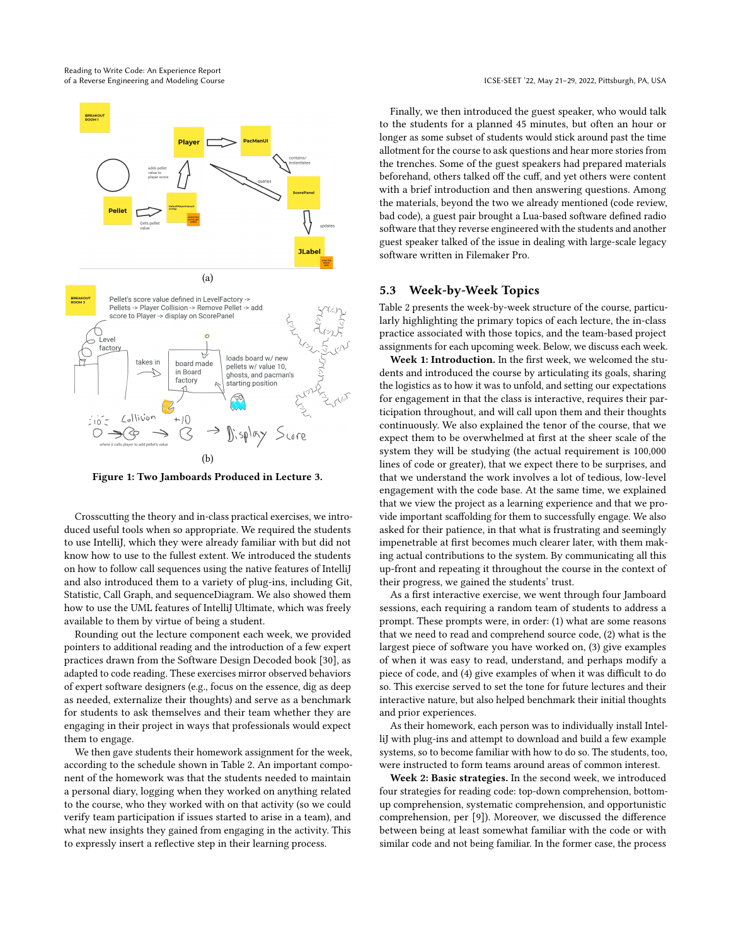<span id="page-6-1"></span>

Figure 1: Two Jamboards Produced in Lecture 3.

Crosscutting the theory and in-class practical exercises, we introduced useful tools when so appropriate. We required the students to use IntelliJ, which they were already familiar with but did not know how to use to the fullest extent. We introduced the students on how to follow call sequences using the native features of IntelliJ and also introduced them to a variety of plug-ins, including Git, Statistic, Call Graph, and sequenceDiagram. We also showed them how to use the UML features of IntelliJ Ultimate, which was freely available to them by virtue of being a student.

Rounding out the lecture component each week, we provided pointers to additional reading and the introduction of a few expert practices drawn from the Software Design Decoded book [\[30\]](#page-11-27), as adapted to code reading. These exercises mirror observed behaviors of expert software designers (e.g., focus on the essence, dig as deep as needed, externalize their thoughts) and serve as a benchmark for students to ask themselves and their team whether they are engaging in their project in ways that professionals would expect them to engage.

We then gave students their homework assignment for the week, according to the schedule shown in Table [2.](#page-5-0) An important component of the homework was that the students needed to maintain a personal diary, logging when they worked on anything related to the course, who they worked with on that activity (so we could verify team participation if issues started to arise in a team), and what new insights they gained from engaging in the activity. This to expressly insert a reflective step in their learning process.

Finally, we then introduced the guest speaker, who would talk to the students for a planned 45 minutes, but often an hour or longer as some subset of students would stick around past the time allotment for the course to ask questions and hear more stories from the trenches. Some of the guest speakers had prepared materials beforehand, others talked off the cuff, and yet others were content with a brief introduction and then answering questions. Among the materials, beyond the two we already mentioned (code review, bad code), a guest pair brought a Lua-based software defined radio software that they reverse engineered with the students and another guest speaker talked of the issue in dealing with large-scale legacy software written in Filemaker Pro.

# <span id="page-6-0"></span>5.3 Week-by-Week Topics

Table [2](#page-5-0) presents the week-by-week structure of the course, particularly highlighting the primary topics of each lecture, the in-class practice associated with those topics, and the team-based project assignments for each upcoming week. Below, we discuss each week.

Week 1: Introduction. In the first week, we welcomed the students and introduced the course by articulating its goals, sharing the logistics as to how it was to unfold, and setting our expectations for engagement in that the class is interactive, requires their participation throughout, and will call upon them and their thoughts continuously. We also explained the tenor of the course, that we expect them to be overwhelmed at first at the sheer scale of the system they will be studying (the actual requirement is 100,000 lines of code or greater), that we expect there to be surprises, and that we understand the work involves a lot of tedious, low-level engagement with the code base. At the same time, we explained that we view the project as a learning experience and that we provide important scaffolding for them to successfully engage. We also asked for their patience, in that what is frustrating and seemingly impenetrable at first becomes much clearer later, with them making actual contributions to the system. By communicating all this up-front and repeating it throughout the course in the context of their progress, we gained the students' trust.

As a first interactive exercise, we went through four Jamboard sessions, each requiring a random team of students to address a prompt. These prompts were, in order: (1) what are some reasons that we need to read and comprehend source code, (2) what is the largest piece of software you have worked on, (3) give examples of when it was easy to read, understand, and perhaps modify a piece of code, and (4) give examples of when it was difficult to do so. This exercise served to set the tone for future lectures and their interactive nature, but also helped benchmark their initial thoughts and prior experiences.

As their homework, each person was to individually install IntelliJ with plug-ins and attempt to download and build a few example systems, so to become familiar with how to do so. The students, too, were instructed to form teams around areas of common interest.

Week 2: Basic strategies. In the second week, we introduced four strategies for reading code: top-down comprehension, bottomup comprehension, systematic comprehension, and opportunistic comprehension, per [\[9\]](#page-10-9)). Moreover, we discussed the difference between being at least somewhat familiar with the code or with similar code and not being familiar. In the former case, the process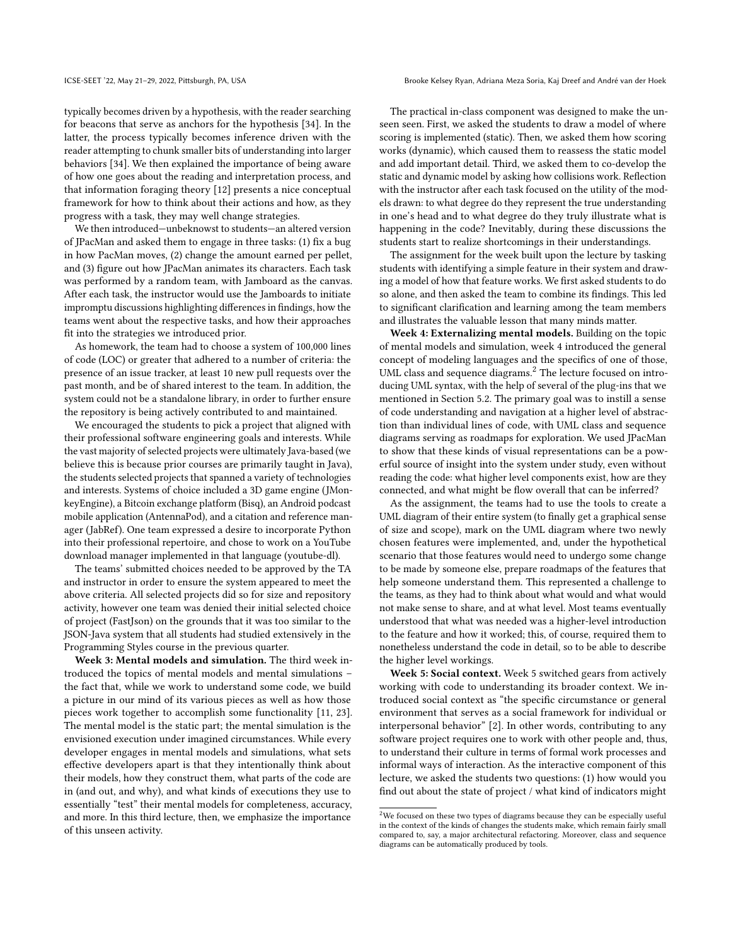typically becomes driven by a hypothesis, with the reader searching for beacons that serve as anchors for the hypothesis [\[34\]](#page-11-28). In the latter, the process typically becomes inference driven with the reader attempting to chunk smaller bits of understanding into larger behaviors [\[34\]](#page-11-28). We then explained the importance of being aware of how one goes about the reading and interpretation process, and that information foraging theory [\[12\]](#page-11-14) presents a nice conceptual framework for how to think about their actions and how, as they progress with a task, they may well change strategies.

We then introduced—unbeknowst to students—an altered version of JPacMan and asked them to engage in three tasks: (1) fix a bug in how PacMan moves, (2) change the amount earned per pellet, and (3) figure out how JPacMan animates its characters. Each task was performed by a random team, with Jamboard as the canvas. After each task, the instructor would use the Jamboards to initiate impromptu discussions highlighting differences in findings, how the teams went about the respective tasks, and how their approaches fit into the strategies we introduced prior.

As homework, the team had to choose a system of 100,000 lines of code (LOC) or greater that adhered to a number of criteria: the presence of an issue tracker, at least 10 new pull requests over the past month, and be of shared interest to the team. In addition, the system could not be a standalone library, in order to further ensure the repository is being actively contributed to and maintained.

We encouraged the students to pick a project that aligned with their professional software engineering goals and interests. While the vast majority of selected projects were ultimately Java-based (we believe this is because prior courses are primarily taught in Java), the students selected projects that spanned a variety of technologies and interests. Systems of choice included a 3D game engine (JMonkeyEngine), a Bitcoin exchange platform (Bisq), an Android podcast mobile application (AntennaPod), and a citation and reference manager (JabRef). One team expressed a desire to incorporate Python into their professional repertoire, and chose to work on a YouTube download manager implemented in that language (youtube-dl).

The teams' submitted choices needed to be approved by the TA and instructor in order to ensure the system appeared to meet the above criteria. All selected projects did so for size and repository activity, however one team was denied their initial selected choice of project (FastJson) on the grounds that it was too similar to the JSON-Java system that all students had studied extensively in the Programming Styles course in the previous quarter.

Week 3: Mental models and simulation. The third week introduced the topics of mental models and mental simulations – the fact that, while we work to understand some code, we build a picture in our mind of its various pieces as well as how those pieces work together to accomplish some functionality [\[11,](#page-11-29) [23\]](#page-11-10). The mental model is the static part; the mental simulation is the envisioned execution under imagined circumstances. While every developer engages in mental models and simulations, what sets effective developers apart is that they intentionally think about their models, how they construct them, what parts of the code are in (and out, and why), and what kinds of executions they use to essentially "test" their mental models for completeness, accuracy, and more. In this third lecture, then, we emphasize the importance of this unseen activity.

The practical in-class component was designed to make the unseen seen. First, we asked the students to draw a model of where scoring is implemented (static). Then, we asked them how scoring works (dynamic), which caused them to reassess the static model and add important detail. Third, we asked them to co-develop the static and dynamic model by asking how collisions work. Reflection with the instructor after each task focused on the utility of the models drawn: to what degree do they represent the true understanding in one's head and to what degree do they truly illustrate what is happening in the code? Inevitably, during these discussions the students start to realize shortcomings in their understandings.

The assignment for the week built upon the lecture by tasking students with identifying a simple feature in their system and drawing a model of how that feature works. We first asked students to do so alone, and then asked the team to combine its findings. This led to significant clarification and learning among the team members and illustrates the valuable lesson that many minds matter.

Week 4: Externalizing mental models. Building on the topic of mental models and simulation, week 4 introduced the general concept of modeling languages and the specifics of one of those, UML class and sequence diagrams.<sup>[2](#page-0-0)</sup> The lecture focused on introducing UML syntax, with the help of several of the plug-ins that we mentioned in Section [5.2.](#page-4-0) The primary goal was to instill a sense of code understanding and navigation at a higher level of abstraction than individual lines of code, with UML class and sequence diagrams serving as roadmaps for exploration. We used JPacMan to show that these kinds of visual representations can be a powerful source of insight into the system under study, even without reading the code: what higher level components exist, how are they connected, and what might be flow overall that can be inferred?

As the assignment, the teams had to use the tools to create a UML diagram of their entire system (to finally get a graphical sense of size and scope), mark on the UML diagram where two newly chosen features were implemented, and, under the hypothetical scenario that those features would need to undergo some change to be made by someone else, prepare roadmaps of the features that help someone understand them. This represented a challenge to the teams, as they had to think about what would and what would not make sense to share, and at what level. Most teams eventually understood that what was needed was a higher-level introduction to the feature and how it worked; this, of course, required them to nonetheless understand the code in detail, so to be able to describe the higher level workings.

Week 5: Social context. Week 5 switched gears from actively working with code to understanding its broader context. We introduced social context as "the specific circumstance or general environment that serves as a social framework for individual or interpersonal behavior" [\[2\]](#page-10-10). In other words, contributing to any software project requires one to work with other people and, thus, to understand their culture in terms of formal work processes and informal ways of interaction. As the interactive component of this lecture, we asked the students two questions: (1) how would you find out about the state of project / what kind of indicators might

 $2$ We focused on these two types of diagrams because they can be especially useful in the context of the kinds of changes the students make, which remain fairly small compared to, say, a major architectural refactoring. Moreover, class and sequence diagrams can be automatically produced by tools.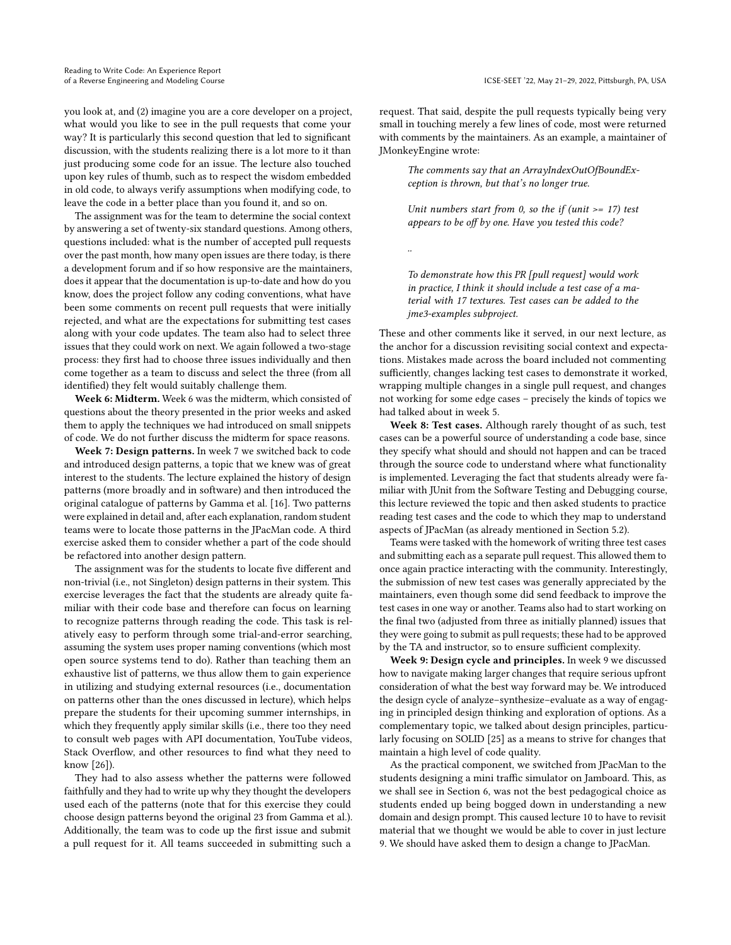you look at, and (2) imagine you are a core developer on a project, what would you like to see in the pull requests that come your way? It is particularly this second question that led to significant discussion, with the students realizing there is a lot more to it than just producing some code for an issue. The lecture also touched upon key rules of thumb, such as to respect the wisdom embedded in old code, to always verify assumptions when modifying code, to leave the code in a better place than you found it, and so on.

The assignment was for the team to determine the social context by answering a set of twenty-six standard questions. Among others, questions included: what is the number of accepted pull requests over the past month, how many open issues are there today, is there a development forum and if so how responsive are the maintainers, does it appear that the documentation is up-to-date and how do you know, does the project follow any coding conventions, what have been some comments on recent pull requests that were initially rejected, and what are the expectations for submitting test cases along with your code updates. The team also had to select three issues that they could work on next. We again followed a two-stage process: they first had to choose three issues individually and then come together as a team to discuss and select the three (from all identified) they felt would suitably challenge them.

Week 6: Midterm. Week 6 was the midterm, which consisted of questions about the theory presented in the prior weeks and asked them to apply the techniques we had introduced on small snippets of code. We do not further discuss the midterm for space reasons.

Week 7: Design patterns. In week 7 we switched back to code and introduced design patterns, a topic that we knew was of great interest to the students. The lecture explained the history of design patterns (more broadly and in software) and then introduced the original catalogue of patterns by Gamma et al. [\[16\]](#page-11-30). Two patterns were explained in detail and, after each explanation, random student teams were to locate those patterns in the JPacMan code. A third exercise asked them to consider whether a part of the code should be refactored into another design pattern.

The assignment was for the students to locate five different and non-trivial (i.e., not Singleton) design patterns in their system. This exercise leverages the fact that the students are already quite familiar with their code base and therefore can focus on learning to recognize patterns through reading the code. This task is relatively easy to perform through some trial-and-error searching, assuming the system uses proper naming conventions (which most open source systems tend to do). Rather than teaching them an exhaustive list of patterns, we thus allow them to gain experience in utilizing and studying external resources (i.e., documentation on patterns other than the ones discussed in lecture), which helps prepare the students for their upcoming summer internships, in which they frequently apply similar skills (i.e., there too they need to consult web pages with API documentation, YouTube videos, Stack Overflow, and other resources to find what they need to know [\[26\]](#page-11-31)).

They had to also assess whether the patterns were followed faithfully and they had to write up why they thought the developers used each of the patterns (note that for this exercise they could choose design patterns beyond the original 23 from Gamma et al.). Additionally, the team was to code up the first issue and submit a pull request for it. All teams succeeded in submitting such a

request. That said, despite the pull requests typically being very small in touching merely a few lines of code, most were returned with comments by the maintainers. As an example, a maintainer of JMonkeyEngine wrote:

> The comments say that an ArrayIndexOutOfBoundException is thrown, but that's no longer true.

> Unit numbers start from 0, so the if (unit  $>= 17$ ) test appears to be off by one. Have you tested this code?

..

To demonstrate how this PR [pull request] would work in practice, I think it should include a test case of a material with 17 textures. Test cases can be added to the jme3-examples subproject.

These and other comments like it served, in our next lecture, as the anchor for a discussion revisiting social context and expectations. Mistakes made across the board included not commenting sufficiently, changes lacking test cases to demonstrate it worked, wrapping multiple changes in a single pull request, and changes not working for some edge cases – precisely the kinds of topics we had talked about in week 5.

Week 8: Test cases. Although rarely thought of as such, test cases can be a powerful source of understanding a code base, since they specify what should and should not happen and can be traced through the source code to understand where what functionality is implemented. Leveraging the fact that students already were familiar with JUnit from the Software Testing and Debugging course, this lecture reviewed the topic and then asked students to practice reading test cases and the code to which they map to understand aspects of JPacMan (as already mentioned in Section [5.2\)](#page-4-0).

Teams were tasked with the homework of writing three test cases and submitting each as a separate pull request. This allowed them to once again practice interacting with the community. Interestingly, the submission of new test cases was generally appreciated by the maintainers, even though some did send feedback to improve the test cases in one way or another. Teams also had to start working on the final two (adjusted from three as initially planned) issues that they were going to submit as pull requests; these had to be approved by the TA and instructor, so to ensure sufficient complexity.

Week 9: Design cycle and principles. In week 9 we discussed how to navigate making larger changes that require serious upfront consideration of what the best way forward may be. We introduced the design cycle of analyze–synthesize–evaluate as a way of engaging in principled design thinking and exploration of options. As a complementary topic, we talked about design principles, particularly focusing on SOLID [\[25\]](#page-11-32) as a means to strive for changes that maintain a high level of code quality.

As the practical component, we switched from JPacMan to the students designing a mini traffic simulator on Jamboard. This, as we shall see in Section [6,](#page-9-0) was not the best pedagogical choice as students ended up being bogged down in understanding a new domain and design prompt. This caused lecture 10 to have to revisit material that we thought we would be able to cover in just lecture 9. We should have asked them to design a change to JPacMan.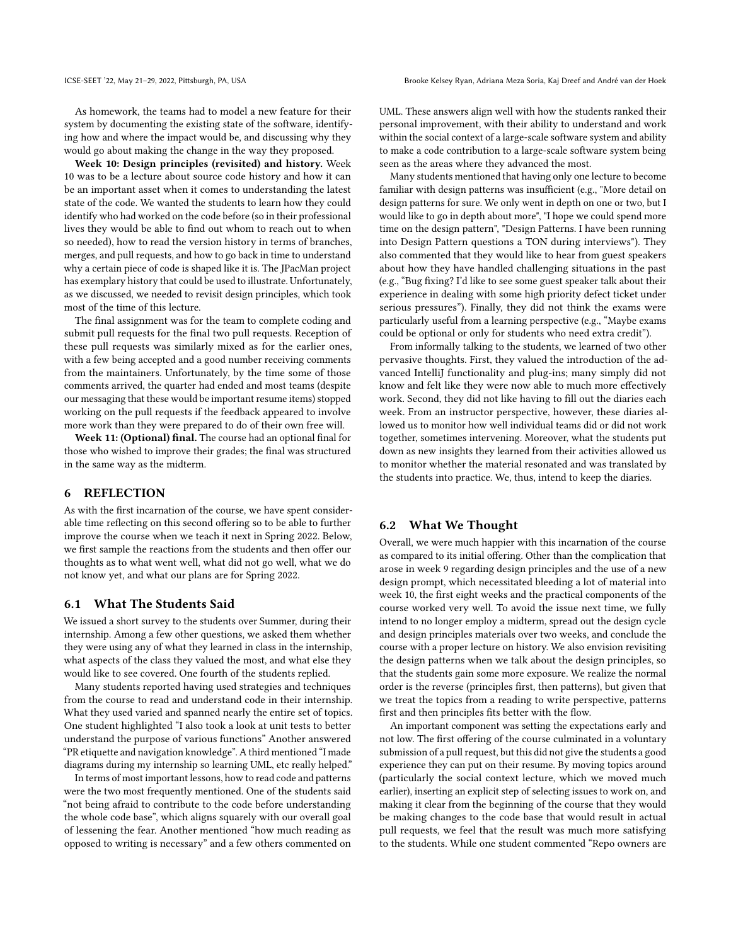ICSE-SEET '22, May 21-29, 2022, Pittsburgh, PA, USA Brooke Kelsey Ryan, Adriana Meza Soria, Kaj Dreef and André van der Hoek

As homework, the teams had to model a new feature for their system by documenting the existing state of the software, identifying how and where the impact would be, and discussing why they would go about making the change in the way they proposed.

Week 10: Design principles (revisited) and history. Week 10 was to be a lecture about source code history and how it can be an important asset when it comes to understanding the latest state of the code. We wanted the students to learn how they could identify who had worked on the code before (so in their professional lives they would be able to find out whom to reach out to when so needed), how to read the version history in terms of branches, merges, and pull requests, and how to go back in time to understand why a certain piece of code is shaped like it is. The JPacMan project has exemplary history that could be used to illustrate. Unfortunately, as we discussed, we needed to revisit design principles, which took most of the time of this lecture.

The final assignment was for the team to complete coding and submit pull requests for the final two pull requests. Reception of these pull requests was similarly mixed as for the earlier ones, with a few being accepted and a good number receiving comments from the maintainers. Unfortunately, by the time some of those comments arrived, the quarter had ended and most teams (despite our messaging that these would be important resume items) stopped working on the pull requests if the feedback appeared to involve more work than they were prepared to do of their own free will.

Week 11: (Optional) final. The course had an optional final for those who wished to improve their grades; the final was structured in the same way as the midterm.

## <span id="page-9-0"></span>6 REFLECTION

As with the first incarnation of the course, we have spent considerable time reflecting on this second offering so to be able to further improve the course when we teach it next in Spring 2022. Below, we first sample the reactions from the students and then offer our thoughts as to what went well, what did not go well, what we do not know yet, and what our plans are for Spring 2022.

#### 6.1 What The Students Said

We issued a short survey to the students over Summer, during their internship. Among a few other questions, we asked them whether they were using any of what they learned in class in the internship, what aspects of the class they valued the most, and what else they would like to see covered. One fourth of the students replied.

Many students reported having used strategies and techniques from the course to read and understand code in their internship. What they used varied and spanned nearly the entire set of topics. One student highlighted "I also took a look at unit tests to better understand the purpose of various functions" Another answered "PR etiquette and navigation knowledge". A third mentioned "I made diagrams during my internship so learning UML, etc really helped."

In terms of most important lessons, how to read code and patterns were the two most frequently mentioned. One of the students said "not being afraid to contribute to the code before understanding the whole code base", which aligns squarely with our overall goal of lessening the fear. Another mentioned "how much reading as opposed to writing is necessary" and a few others commented on UML. These answers align well with how the students ranked their personal improvement, with their ability to understand and work within the social context of a large-scale software system and ability to make a code contribution to a large-scale software system being seen as the areas where they advanced the most.

Many students mentioned that having only one lecture to become familiar with design patterns was insufficient (e.g., "More detail on design patterns for sure. We only went in depth on one or two, but I would like to go in depth about more", "I hope we could spend more time on the design pattern", "Design Patterns. I have been running into Design Pattern questions a TON during interviews"). They also commented that they would like to hear from guest speakers about how they have handled challenging situations in the past (e.g., "Bug fixing? I'd like to see some guest speaker talk about their experience in dealing with some high priority defect ticket under serious pressures"). Finally, they did not think the exams were particularly useful from a learning perspective (e.g., "Maybe exams could be optional or only for students who need extra credit").

From informally talking to the students, we learned of two other pervasive thoughts. First, they valued the introduction of the advanced IntelliJ functionality and plug-ins; many simply did not know and felt like they were now able to much more effectively work. Second, they did not like having to fill out the diaries each week. From an instructor perspective, however, these diaries allowed us to monitor how well individual teams did or did not work together, sometimes intervening. Moreover, what the students put down as new insights they learned from their activities allowed us to monitor whether the material resonated and was translated by the students into practice. We, thus, intend to keep the diaries.

#### 6.2 What We Thought

Overall, we were much happier with this incarnation of the course as compared to its initial offering. Other than the complication that arose in week 9 regarding design principles and the use of a new design prompt, which necessitated bleeding a lot of material into week 10, the first eight weeks and the practical components of the course worked very well. To avoid the issue next time, we fully intend to no longer employ a midterm, spread out the design cycle and design principles materials over two weeks, and conclude the course with a proper lecture on history. We also envision revisiting the design patterns when we talk about the design principles, so that the students gain some more exposure. We realize the normal order is the reverse (principles first, then patterns), but given that we treat the topics from a reading to write perspective, patterns first and then principles fits better with the flow.

An important component was setting the expectations early and not low. The first offering of the course culminated in a voluntary submission of a pull request, but this did not give the students a good experience they can put on their resume. By moving topics around (particularly the social context lecture, which we moved much earlier), inserting an explicit step of selecting issues to work on, and making it clear from the beginning of the course that they would be making changes to the code base that would result in actual pull requests, we feel that the result was much more satisfying to the students. While one student commented "Repo owners are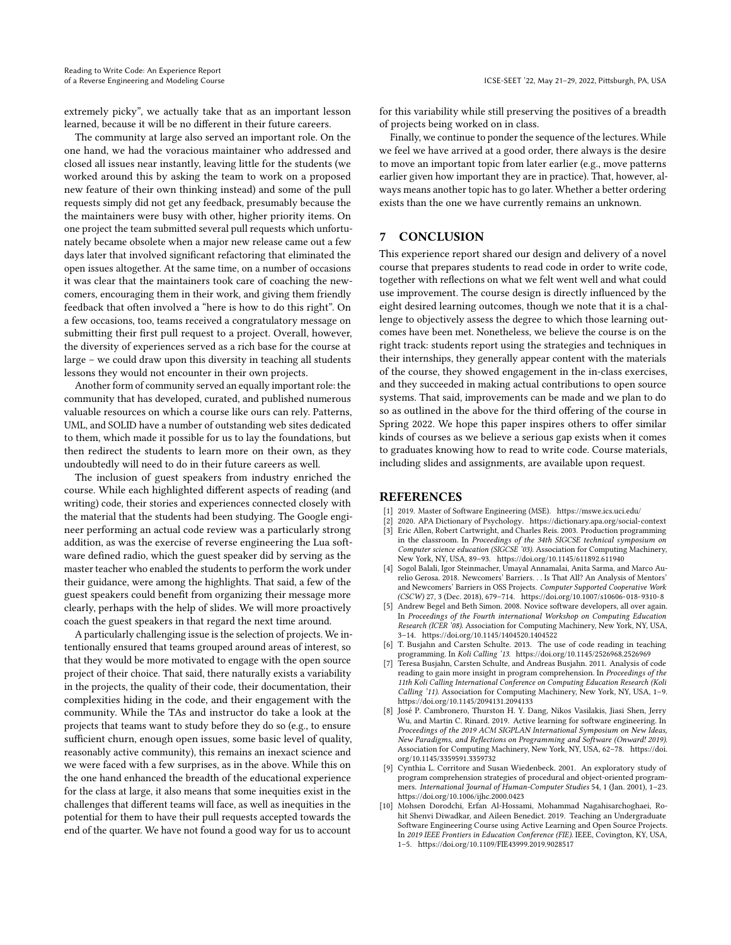extremely picky", we actually take that as an important lesson learned, because it will be no different in their future careers.

The community at large also served an important role. On the one hand, we had the voracious maintainer who addressed and closed all issues near instantly, leaving little for the students (we worked around this by asking the team to work on a proposed new feature of their own thinking instead) and some of the pull requests simply did not get any feedback, presumably because the the maintainers were busy with other, higher priority items. On one project the team submitted several pull requests which unfortunately became obsolete when a major new release came out a few days later that involved significant refactoring that eliminated the open issues altogether. At the same time, on a number of occasions it was clear that the maintainers took care of coaching the newcomers, encouraging them in their work, and giving them friendly feedback that often involved a "here is how to do this right". On a few occasions, too, teams received a congratulatory message on submitting their first pull request to a project. Overall, however, the diversity of experiences served as a rich base for the course at large – we could draw upon this diversity in teaching all students lessons they would not encounter in their own projects.

Another form of community served an equally important role: the community that has developed, curated, and published numerous valuable resources on which a course like ours can rely. Patterns, UML, and SOLID have a number of outstanding web sites dedicated to them, which made it possible for us to lay the foundations, but then redirect the students to learn more on their own, as they undoubtedly will need to do in their future careers as well.

The inclusion of guest speakers from industry enriched the course. While each highlighted different aspects of reading (and writing) code, their stories and experiences connected closely with the material that the students had been studying. The Google engineer performing an actual code review was a particularly strong addition, as was the exercise of reverse engineering the Lua software defined radio, which the guest speaker did by serving as the master teacher who enabled the students to perform the work under their guidance, were among the highlights. That said, a few of the guest speakers could benefit from organizing their message more clearly, perhaps with the help of slides. We will more proactively coach the guest speakers in that regard the next time around.

A particularly challenging issue is the selection of projects. We intentionally ensured that teams grouped around areas of interest, so that they would be more motivated to engage with the open source project of their choice. That said, there naturally exists a variability in the projects, the quality of their code, their documentation, their complexities hiding in the code, and their engagement with the community. While the TAs and instructor do take a look at the projects that teams want to study before they do so (e.g., to ensure sufficient churn, enough open issues, some basic level of quality, reasonably active community), this remains an inexact science and we were faced with a few surprises, as in the above. While this on the one hand enhanced the breadth of the educational experience for the class at large, it also means that some inequities exist in the challenges that different teams will face, as well as inequities in the potential for them to have their pull requests accepted towards the end of the quarter. We have not found a good way for us to account

for this variability while still preserving the positives of a breadth of projects being worked on in class.

Finally, we continue to ponder the sequence of the lectures. While we feel we have arrived at a good order, there always is the desire to move an important topic from later earlier (e.g., move patterns earlier given how important they are in practice). That, however, always means another topic has to go later. Whether a better ordering exists than the one we have currently remains an unknown.

## <span id="page-10-1"></span>7 CONCLUSION

This experience report shared our design and delivery of a novel course that prepares students to read code in order to write code, together with reflections on what we felt went well and what could use improvement. The course design is directly influenced by the eight desired learning outcomes, though we note that it is a challenge to objectively assess the degree to which those learning outcomes have been met. Nonetheless, we believe the course is on the right track: students report using the strategies and techniques in their internships, they generally appear content with the materials of the course, they showed engagement in the in-class exercises, and they succeeded in making actual contributions to open source systems. That said, improvements can be made and we plan to do so as outlined in the above for the third offering of the course in Spring 2022. We hope this paper inspires others to offer similar kinds of courses as we believe a serious gap exists when it comes to graduates knowing how to read to write code. Course materials, including slides and assignments, are available upon request.

#### REFERENCES

- <span id="page-10-7"></span>[1] 2019. Master of Software Engineering (MSE).<https://mswe.ics.uci.edu/>
- <span id="page-10-10"></span>[2] 2020. APA Dictionary of Psychology.<https://dictionary.apa.org/social-context>
- <span id="page-10-5"></span>[3] Eric Allen, Robert Cartwright, and Charles Reis. 2003. Production programming in the classroom. In Proceedings of the 34th SIGCSE technical symposium on Computer science education (SIGCSE '03). Association for Computing Machinery, New York, NY, USA, 89–93.<https://doi.org/10.1145/611892.611940>
- <span id="page-10-3"></span>[4] Sogol Balali, Igor Steinmacher, Umayal Annamalai, Anita Sarma, and Marco Aurelio Gerosa. 2018. Newcomers' Barriers. . . Is That All? An Analysis of Mentors' and Newcomers' Barriers in OSS Projects. Computer Supported Cooperative Work (CSCW) 27, 3 (Dec. 2018), 679–714.<https://doi.org/10.1007/s10606-018-9310-8>
- <span id="page-10-2"></span>[5] Andrew Begel and Beth Simon. 2008. Novice software developers, all over again. In Proceedings of the Fourth international Workshop on Computing Education Research (ICER '08). Association for Computing Machinery, New York, NY, USA, 3–14.<https://doi.org/10.1145/1404520.1404522>
- <span id="page-10-0"></span>[6] T. Busjahn and Carsten Schulte. 2013. The use of code reading in teaching programming. In Koli Calling '13.<https://doi.org/10.1145/2526968.2526969>
- <span id="page-10-4"></span>[7] Teresa Busjahn, Carsten Schulte, and Andreas Busjahn. 2011. Analysis of code reading to gain more insight in program comprehension. In Proceedings of the 11th Koli Calling International Conference on Computing Education Research (Koli Calling '11). Association for Computing Machinery, New York, NY, USA, 1–9. <https://doi.org/10.1145/2094131.2094133>
- <span id="page-10-8"></span>[8] José P. Cambronero, Thurston H. Y. Dang, Nikos Vasilakis, Jiasi Shen, Jerry Wu, and Martin C. Rinard. 2019. Active learning for software engineering. In Proceedings of the 2019 ACM SIGPLAN International Symposium on New Ideas, New Paradigms, and Reflections on Programming and Software (Onward! 2019). Association for Computing Machinery, New York, NY, USA, 62–78. [https://doi.](https://doi.org/10.1145/3359591.3359732) [org/10.1145/3359591.3359732](https://doi.org/10.1145/3359591.3359732)
- <span id="page-10-9"></span>[9] Cynthia L. Corritore and Susan Wiedenbeck. 2001. An exploratory study of program comprehension strategies of procedural and object-oriented programmers. International Journal of Human-Computer Studies 54, 1 (Jan. 2001), 1–23. <https://doi.org/10.1006/ijhc.2000.0423>
- <span id="page-10-6"></span>[10] Mohsen Dorodchi, Erfan Al-Hossami, Mohammad Nagahisarchoghaei, Rohit Shenvi Diwadkar, and Aileen Benedict. 2019. Teaching an Undergraduate Software Engineering Course using Active Learning and Open Source Projects. In 2019 IEEE Frontiers in Education Conference (FIE). IEEE, Covington, KY, USA, 1–5.<https://doi.org/10.1109/FIE43999.2019.9028517>